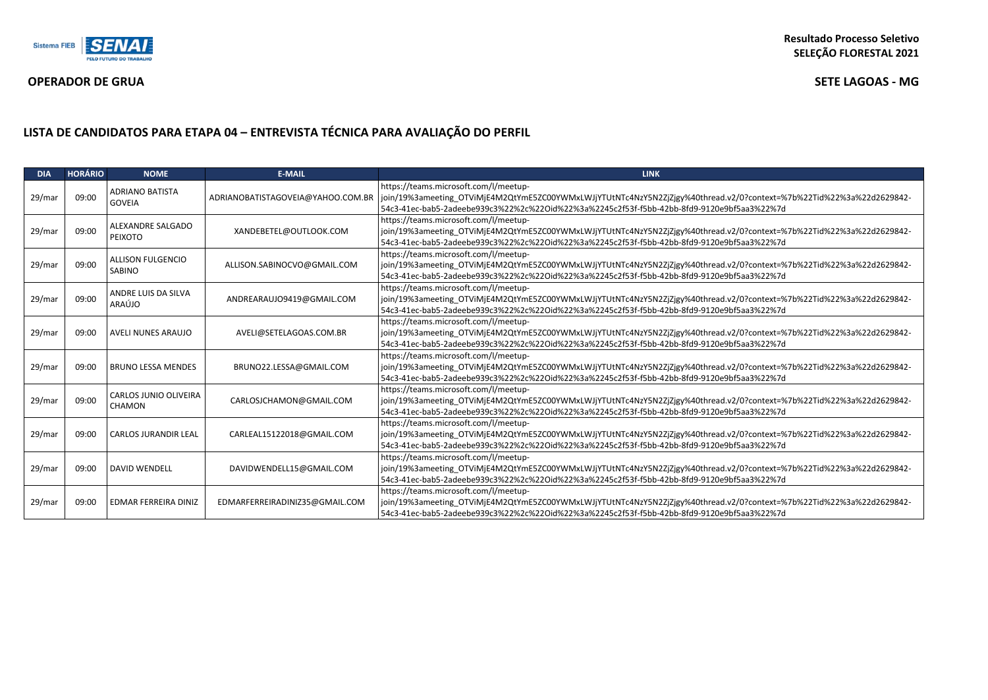

## **OPERADOR DE GRUA SETE LAGOAS - MG**

# **LISTA DE CANDIDATOS PARA ETAPA 04 – ENTREVISTA TÉCNICA PARA AVALIAÇÃO DO PERFIL**

| <b>DIA</b> | <b>HORÁRIO</b> | <b>NOME</b>                             | <b>E-MAIL</b>                                                                                                                                                                                                                                                                            | <b>LINK</b>                                                                                                                                                                                                                                                 |  |
|------------|----------------|-----------------------------------------|------------------------------------------------------------------------------------------------------------------------------------------------------------------------------------------------------------------------------------------------------------------------------------------|-------------------------------------------------------------------------------------------------------------------------------------------------------------------------------------------------------------------------------------------------------------|--|
| 29/mar     | 09:00          | <b>ADRIANO BATISTA</b><br><b>GOVEIA</b> | ADRIANOBATISTAGOVEIA@YAHOO.COM.BR                                                                                                                                                                                                                                                        | https://teams.microsoft.com/l/meetup-<br>join/19%3ameeting_OTViMjE4M2QtYmE5ZC00YWMxLWJjYTUtNTc4NzY5N2ZjZjgy%40thread.v2/0?context=%7b%22Tid%22%3a%22d2629842-<br>54c3-41ec-bab5-2adeebe939c3%22%2c%22Oid%22%3a%2245c2f53f-f5bb-42bb-8fd9-9120e9bf5aa3%22%7d |  |
| 29/mar     | 09:00          | ALEXANDRE SALGADO<br><b>PEIXOTO</b>     | XANDEBETEL@OUTLOOK.COM                                                                                                                                                                                                                                                                   | https://teams.microsoft.com/l/meetup-<br>join/19%3ameeting_OTViMjE4M2QtYmE5ZC00YWMxLWJjYTUtNTc4NzY5N2ZjZjgy%40thread.v2/0?context=%7b%22Tid%22%3a%22d2629842-<br>54c3-41ec-bab5-2adeebe939c3%22%2c%22Oid%22%3a%2245c2f53f-f5bb-42bb-8fd9-9120e9bf5aa3%22%7d |  |
| 29/mar     | 09:00          | <b>ALLISON FULGENCIO</b><br>SABINO      | ALLISON.SABINOCVO@GMAIL.COM                                                                                                                                                                                                                                                              | https://teams.microsoft.com/l/meetup-<br>join/19%3ameeting OTViMjE4M2QtYmE5ZC00YWMxLWJjYTUtNTc4NzY5N2ZjZjgy%40thread.v2/0?context=%7b%22Tid%22%3a%22d2629842-<br>54c3-41ec-bab5-2adeebe939c3%22%2c%22Oid%22%3a%2245c2f53f-f5bb-42bb-8fd9-9120e9bf5aa3%22%7d |  |
| 29/mar     | 09:00          | ANDRE LUIS DA SILVA<br>ARAÚJO           | https://teams.microsoft.com/l/meetup-<br>join/19%3ameeting_OTViMjE4M2QtYmE5ZC00YWMxLWJjYTUtNTc4NzY5N2ZjZjgy%40thread.v2/0?context=%7b%22Tid%22%3a%22d2629842-<br>ANDREARAUJO9419@GMAIL.COM<br>54c3-41ec-bab5-2adeebe939c3%22%2c%22Oid%22%3a%2245c2f53f-f5bb-42bb-8fd9-9120e9bf5aa3%22%7d |                                                                                                                                                                                                                                                             |  |
| 29/mar     | 09:00          | <b>AVELI NUNES ARAUJO</b>               | AVELI@SETELAGOAS.COM.BR                                                                                                                                                                                                                                                                  | https://teams.microsoft.com/l/meetup-<br>join/19%3ameeting_OTViMjE4M2QtYmE5ZC00YWMxLWJjYTUtNTc4NzY5N2ZjZjgy%40thread.v2/0?context=%7b%22Tid%22%3a%22d2629842-<br>54c3-41ec-bab5-2adeebe939c3%22%2c%22Oid%22%3a%2245c2f53f-f5bb-42bb-8fd9-9120e9bf5aa3%22%7d |  |
| 29/mar     | 09:00          | <b>BRUNO LESSA MENDES</b>               | BRUNO22.LESSA@GMAIL.COM                                                                                                                                                                                                                                                                  | https://teams.microsoft.com/l/meetup-<br>join/19%3ameeting_OTViMjE4M2QtYmE5ZC00YWMxLWJjYTUtNTc4NzY5N2ZjZjgy%40thread.v2/0?context=%7b%22Tid%22%3a%22d2629842-<br>54c3-41ec-bab5-2adeebe939c3%22%2c%22Oid%22%3a%2245c2f53f-f5bb-42bb-8fd9-9120e9bf5aa3%22%7d |  |
| 29/mar     | 09:00          | CARLOS JUNIO OLIVEIRA<br><b>CHAMON</b>  | CARLOSJCHAMON@GMAIL.COM                                                                                                                                                                                                                                                                  | https://teams.microsoft.com/l/meetup-<br>join/19%3ameeting_OTViMjE4M2QtYmE5ZC00YWMxLWJjYTUtNTc4NzY5N2ZjZjgy%40thread.v2/0?context=%7b%22Tid%22%3a%22d2629842-<br>54c3-41ec-bab5-2adeebe939c3%22%2c%22Oid%22%3a%2245c2f53f-f5bb-42bb-8fd9-9120e9bf5aa3%22%7d |  |
| 29/mar     | 09:00          | <b>CARLOS JURANDIR LEAL</b>             | CARLEAL15122018@GMAIL.COM                                                                                                                                                                                                                                                                | https://teams.microsoft.com/l/meetup-<br>-join/19%3ameeting OTViMjE4M2QtYmE5ZC00YWMxLWJjYTUtNTc4NzY5N2ZjZjgy%40thread.v2/0?context=%7b%22Tid%22%3a%22d2629842<br>54c3-41ec-bab5-2adeebe939c3%22%2c%22Oid%22%3a%2245c2f53f-f5bb-42bb-8fd9-9120e9bf5aa3%22%7d |  |
| 29/mar     | 09:00          | <b>DAVID WENDELL</b>                    | DAVIDWENDELL15@GMAIL.COM                                                                                                                                                                                                                                                                 | https://teams.microsoft.com/l/meetup-<br>join/19%3ameeting_OTViMjE4M2QtYmE5ZC00YWMxLWJjYTUtNTc4NzY5N2ZjZjgy%40thread.v2/0?context=%7b%22Tid%22%3a%22d2629842-<br>54c3-41ec-bab5-2adeebe939c3%22%2c%22Oid%22%3a%2245c2f53f-f5bb-42bb-8fd9-9120e9bf5aa3%22%7d |  |
| 29/mar     | 09:00          | EDMAR FERREIRA DINIZ                    | EDMARFERREIRADINIZ35@GMAIL.COM                                                                                                                                                                                                                                                           | https://teams.microsoft.com/l/meetup-<br>join/19%3ameeting_OTViMjE4M2QtYmE5ZC00YWMxLWJjYTUtNTc4NzY5N2ZjZjgy%40thread.v2/0?context=%7b%22Tid%22%3a%22d2629842-<br>54c3-41ec-bab5-2adeebe939c3%22%2c%22Oid%22%3a%2245c2f53f-f5bb-42bb-8fd9-9120e9bf5aa3%22%7d |  |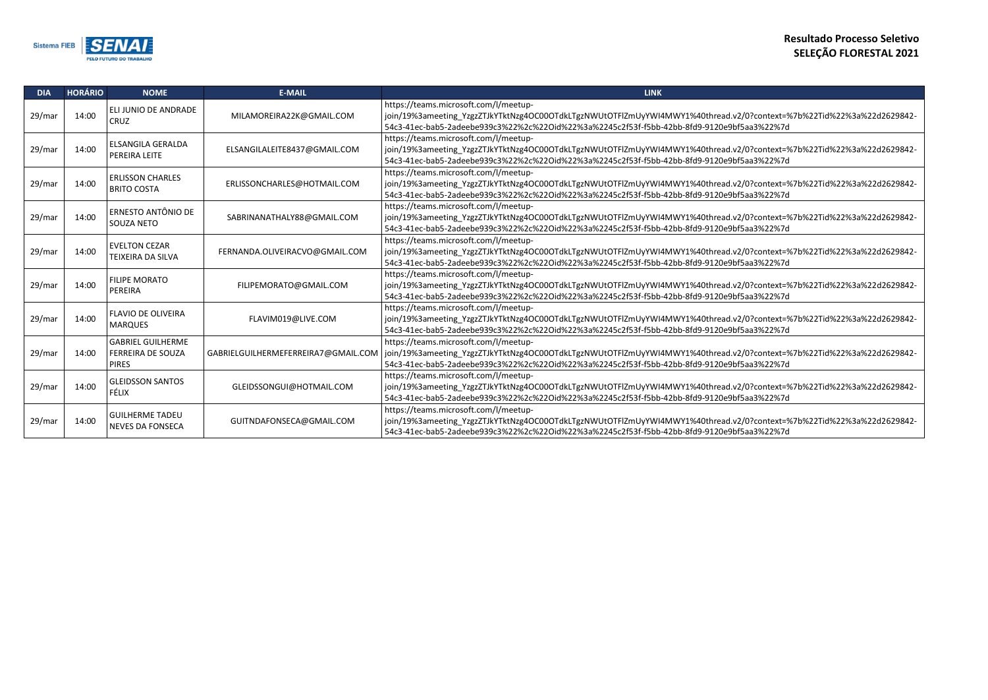/0?context=%7b%22Tid%22%3a%22d2629842-

/0?context=%7b%22Tid%22%3a%22d2629842-<br><sup>5</sup>aa3%22%7d

/0?context=%7b%22Tid%22%3a%22d2629842-

/0?context=%7b%22Tid%22%3a%22d2629842-5aa3%22%7d

/0?context=%7b%22Tid%22%3a%22d2629842-5aa3%22%7d

/0?context=%7b%22Tid%22%3a%22d2629842-5aa3%22%7d

/0?context=%7b%22Tid%22%3a%22d2629842-5aa3%22%7d

/0?context=%7b%22Tid%22%3a%22d2629842-5aa3%22%7d

/0?context=%7b%22Tid%22%3a%22d2629842-<br><sup>5</sup>aa3%22%7d

/0?context=%7b%22Tid%22%3a%22d2629842- $5a$ a $3%$ 22 $%$ 7d



| <b>DIA</b> | <b>HORÁRIO</b> | <b>NOME</b>                                                          | <b>E-MAIL</b>                       | <b>LINK</b>                                                                                                                                                                                                                       |
|------------|----------------|----------------------------------------------------------------------|-------------------------------------|-----------------------------------------------------------------------------------------------------------------------------------------------------------------------------------------------------------------------------------|
| 29/mar     | 14:00          | ELI JUNIO DE ANDRADE<br><b>CRUZ</b>                                  | MILAMOREIRA22K@GMAIL.COM            | https://teams.microsoft.com/l/meetup-<br>join/19%3ameeting_YzgzZTJkYTktNzg4OC00OTdkLTgzNWUtOTFlZmUyYWI4MWY1%40thread.v2/0?context=9<br>54c3-41ec-bab5-2adeebe939c3%22%2c%22Oid%22%3a%2245c2f53f-f5bb-42bb-8fd9-9120e9bf5aa3%22%7d |
| 29/mar     | 14:00          | <b>ELSANGILA GERALDA</b><br>PEREIRA LEITE                            | ELSANGILALEITE8437@GMAIL.COM        | https://teams.microsoft.com/l/meetup-<br>join/19%3ameeting YzgzZTJkYTktNzg4OC00OTdkLTgzNWUtOTFlZmUyYWI4MWY1%40thread.v2/0?context=9<br>54c3-41ec-bab5-2adeebe939c3%22%2c%22Oid%22%3a%2245c2f53f-f5bb-42bb-8fd9-9120e9bf5aa3%22%7d |
| 29/mar     | 14:00          | <b>ERLISSON CHARLES</b><br><b>BRITO COSTA</b>                        | ERLISSONCHARLES@HOTMAIL.COM         | https://teams.microsoft.com/l/meetup-<br>join/19%3ameeting_YzgzZTJkYTktNzg4OC00OTdkLTgzNWUtOTFlZmUyYWI4MWY1%40thread.v2/0?context=9<br>54c3-41ec-bab5-2adeebe939c3%22%2c%22Oid%22%3a%2245c2f53f-f5bb-42bb-8fd9-9120e9bf5aa3%22%7d |
| 29/mar     | 14:00          | ERNESTO ANTÔNIO DE<br>SOUZA NETO                                     | SABRINANATHALY88@GMAIL.COM          | https://teams.microsoft.com/l/meetup-<br>join/19%3ameeting YzgzZTJkYTktNzg4OC00OTdkLTgzNWUtOTFlZmUyYWI4MWY1%40thread.v2/0?context=9<br>54c3-41ec-bab5-2adeebe939c3%22%2c%22Oid%22%3a%2245c2f53f-f5bb-42bb-8fd9-9120e9bf5aa3%22%7d |
| 29/mar     | 14:00          | <b>EVELTON CEZAR</b><br>TEIXEIRA DA SILVA                            | FERNANDA.OLIVEIRACVO@GMAIL.COM      | https://teams.microsoft.com/l/meetup-<br>join/19%3ameeting_YzgzZTJkYTktNzg4OC00OTdkLTgzNWUtOTFlZmUyYWI4MWY1%40thread.v2/0?context=9<br>54c3-41ec-bab5-2adeebe939c3%22%2c%22Oid%22%3a%2245c2f53f-f5bb-42bb-8fd9-9120e9bf5aa3%22%7d |
| 29/mar     | 14:00          | <b>FILIPE MORATO</b><br>PEREIRA                                      | FILIPEMORATO@GMAIL.COM              | https://teams.microsoft.com/l/meetup-<br>join/19%3ameeting_YzgzZTJkYTktNzg4OC00OTdkLTgzNWUtOTFlZmUyYWI4MWY1%40thread.v2/0?context=9<br>54c3-41ec-bab5-2adeebe939c3%22%2c%22Oid%22%3a%2245c2f53f-f5bb-42bb-8fd9-9120e9bf5aa3%22%7d |
| 29/mar     | 14:00          | <b>FLAVIO DE OLIVEIRA</b><br><b>MARQUES</b>                          | FLAVIM019@LIVE.COM                  | https://teams.microsoft.com/l/meetup-<br>join/19%3ameeting YzgzZTJkYTktNzg4OC00OTdkLTgzNWUtOTFlZmUyYWI4MWY1%40thread.v2/0?context=9<br>54c3-41ec-bab5-2adeebe939c3%22%2c%22Oid%22%3a%2245c2f53f-f5bb-42bb-8fd9-9120e9bf5aa3%22%7d |
| 29/mar     | 14:00          | <b>GABRIEL GUILHERME</b><br><b>FERREIRA DE SOUZA</b><br><b>PIRES</b> | GABRIELGUILHERMEFERREIRA7@GMAIL.COM | https://teams.microsoft.com/l/meetup-<br>join/19%3ameeting YzgzZTJkYTktNzg4OC00OTdkLTgzNWUtOTFlZmUyYWI4MWY1%40thread.v2/0?context=9<br>54c3-41ec-bab5-2adeebe939c3%22%2c%22Oid%22%3a%2245c2f53f-f5bb-42bb-8fd9-9120e9bf5aa3%22%7d |
| 29/mar     | 14:00          | <b>GLEIDSSON SANTOS</b><br><b>FÉLIX</b>                              | GLEIDSSONGUI@HOTMAIL.COM            | https://teams.microsoft.com/l/meetup-<br>join/19%3ameeting YzgzZTJkYTktNzg4OC00OTdkLTgzNWUtOTFlZmUyYWI4MWY1%40thread.v2/0?context=9<br>54c3-41ec-bab5-2adeebe939c3%22%2c%22Oid%22%3a%2245c2f53f-f5bb-42bb-8fd9-9120e9bf5aa3%22%7d |
| 29/mar     | 14:00          | <b>GUILHERME TADEU</b><br><b>NEVES DA FONSECA</b>                    | GUITNDAFONSECA@GMAIL.COM            | https://teams.microsoft.com/l/meetup-<br>join/19%3ameeting YzgzZTJkYTktNzg4OC00OTdkLTgzNWUtOTFlZmUyYWI4MWY1%40thread.v2/0?context=9<br>54c3-41ec-bab5-2adeebe939c3%22%2c%22Oid%22%3a%2245c2f53f-f5bb-42bb-8fd9-9120e9bf5aa3%22%7d |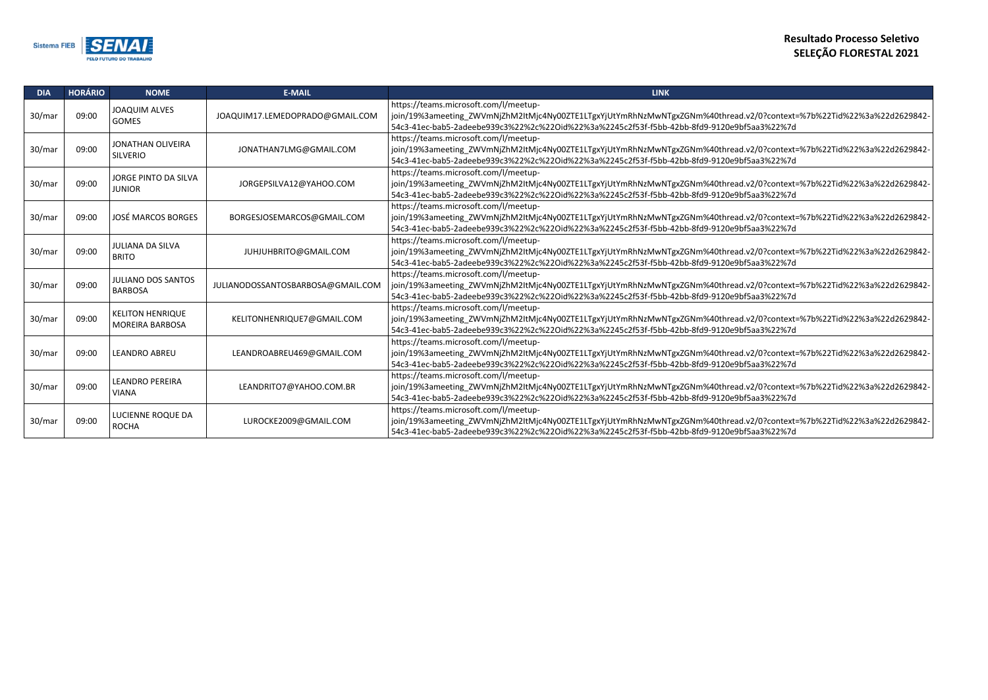l.v2/0?context=%7b%22Tid%22%3a%22d2629842f5aa3%22%7d

l.v2/0?context=%7b%22Tid%22%3a%22d2629842f5aa3%22%7d

l.v2/0?context=%7b%22Tid%22%3a%22d2629842f5aa3%22%7d

l.v2/0?context=%7b%22Tid%22%3a%22d2629842f5aa3%22%7d

l.v2/0?context=%7b%22Tid%22%3a%22d2629842f5aa3%22%7d

l.v2/0?context=%7b%22Tid%22%3a%22d2629842f5aa3%22%7d

l.v2/0?context=%7b%22Tid%22%3a%22d2629842f5aa3%22%7d

l.v2/0?context=%7b%22Tid%22%3a%22d2629842f5aa3%22%7d

l.v2/0?context=%7b%22Tid%22%3a%22d2629842f5aa3%22%7d

l.v2/0?context=%7b%22Tid%22%3a%22d2629842f5aa3%22%7d



| <b>DIA</b> | <b>HORÁRIO</b> | <b>NOME</b>                                       | <b>E-MAIL</b>                     | <b>LINK</b>                                                                                                                                                                                               |
|------------|----------------|---------------------------------------------------|-----------------------------------|-----------------------------------------------------------------------------------------------------------------------------------------------------------------------------------------------------------|
| 30/mar     | 09:00          | <b>JOAQUIM ALVES</b><br><b>GOMES</b>              | JOAQUIM17.LEMEDOPRADO@GMAIL.COM   | https://teams.microsoft.com/l/meetup-<br>join/19%3ameeting_ZWVmNjZhM2ItMjc4Ny00ZTE1LTgxYjUtYmRhNzMwNTgxZGNm%40thread.<br>54c3-41ec-bab5-2adeebe939c3%22%2c%22Oid%22%3a%2245c2f53f-f5bb-42bb-8fd9-9120e9bt |
| 30/mar     | 09:00          | <b>JONATHAN OLIVEIRA</b><br><b>SILVERIO</b>       | JONATHAN7LMG@GMAIL.COM            | https://teams.microsoft.com/l/meetup-<br>join/19%3ameeting ZWVmNjZhM2ItMjc4Ny00ZTE1LTgxYjUtYmRhNzMwNTgxZGNm%40thread.<br>54c3-41ec-bab5-2adeebe939c3%22%2c%22Oid%22%3a%2245c2f53f-f5bb-42bb-8fd9-9120e9bf |
| 30/mar     | 09:00          | <b>JORGE PINTO DA SILVA</b><br><b>JUNIOR</b>      | JORGEPSILVA12@YAHOO.COM           | https://teams.microsoft.com/l/meetup-<br>join/19%3ameeting_ZWVmNjZhM2ItMjc4Ny00ZTE1LTgxYjUtYmRhNzMwNTgxZGNm%40thread.<br>54c3-41ec-bab5-2adeebe939c3%22%2c%22Oid%22%3a%2245c2f53f-f5bb-42bb-8fd9-9120e9bt |
| 30/mar     | 09:00          | <b>JOSÉ MARCOS BORGES</b>                         | BORGESJOSEMARCOS@GMAIL.COM        | https://teams.microsoft.com/l/meetup-<br>join/19%3ameeting_ZWVmNjZhM2ItMjc4Ny00ZTE1LTgxYjUtYmRhNzMwNTgxZGNm%40thread.<br>54c3-41ec-bab5-2adeebe939c3%22%2c%22Oid%22%3a%2245c2f53f-f5bb-42bb-8fd9-9120e9bt |
| 30/mar     | 09:00          | <b>JULIANA DA SILVA</b><br><b>BRITO</b>           | JUHJUHBRITO@GMAIL.COM             | https://teams.microsoft.com/l/meetup-<br>join/19%3ameeting ZWVmNjZhM2ItMjc4Ny00ZTE1LTgxYjUtYmRhNzMwNTgxZGNm%40thread.<br>54c3-41ec-bab5-2adeebe939c3%22%2c%22Oid%22%3a%2245c2f53f-f5bb-42bb-8fd9-9120e9bf |
| 30/mar     | 09:00          | <b>JULIANO DOS SANTOS</b><br><b>BARBOSA</b>       | JULIANODOSSANTOSBARBOSA@GMAIL.COM | https://teams.microsoft.com/l/meetup-<br>join/19%3ameeting ZWVmNjZhM2ItMjc4Ny00ZTE1LTgxYjUtYmRhNzMwNTgxZGNm%40thread.<br>54c3-41ec-bab5-2adeebe939c3%22%2c%22Oid%22%3a%2245c2f53f-f5bb-42bb-8fd9-9120e9bt |
| 30/mar     | 09:00          | <b>KELITON HENRIQUE</b><br><b>MOREIRA BARBOSA</b> | KELITONHENRIQUE7@GMAIL.COM        | https://teams.microsoft.com/l/meetup-<br>join/19%3ameeting ZWVmNjZhM2ItMjc4Ny00ZTE1LTgxYjUtYmRhNzMwNTgxZGNm%40thread.<br>54c3-41ec-bab5-2adeebe939c3%22%2c%22Oid%22%3a%2245c2f53f-f5bb-42bb-8fd9-9120e9bt |
| 30/mar     | 09:00          | <b>LEANDRO ABREU</b>                              | LEANDROABREU469@GMAIL.COM         | https://teams.microsoft.com/l/meetup-<br>join/19%3ameeting_ZWVmNjZhM2ItMjc4Ny00ZTE1LTgxYjUtYmRhNzMwNTgxZGNm%40thread.<br>54c3-41ec-bab5-2adeebe939c3%22%2c%22Oid%22%3a%2245c2f53f-f5bb-42bb-8fd9-9120e9bt |
| 30/mar     | 09:00          | <b>LEANDRO PEREIRA</b><br><b>VIANA</b>            | LEANDRITO7@YAHOO.COM.BR           | https://teams.microsoft.com/l/meetup-<br>join/19%3ameeting_ZWVmNjZhM2ItMjc4Ny00ZTE1LTgxYjUtYmRhNzMwNTgxZGNm%40thread.<br>54c3-41ec-bab5-2adeebe939c3%22%2c%22Oid%22%3a%2245c2f53f-f5bb-42bb-8fd9-9120e9bt |
| 30/mar     | 09:00          | LUCIENNE ROQUE DA<br><b>ROCHA</b>                 | LUROCKE2009@GMAIL.COM             | https://teams.microsoft.com/l/meetup-<br>join/19%3ameeting ZWVmNjZhM2ItMjc4Ny00ZTE1LTgxYjUtYmRhNzMwNTgxZGNm%40thread.<br>54c3-41ec-bab5-2adeebe939c3%22%2c%22Oid%22%3a%2245c2f53f-f5bb-42bb-8fd9-9120e9bt |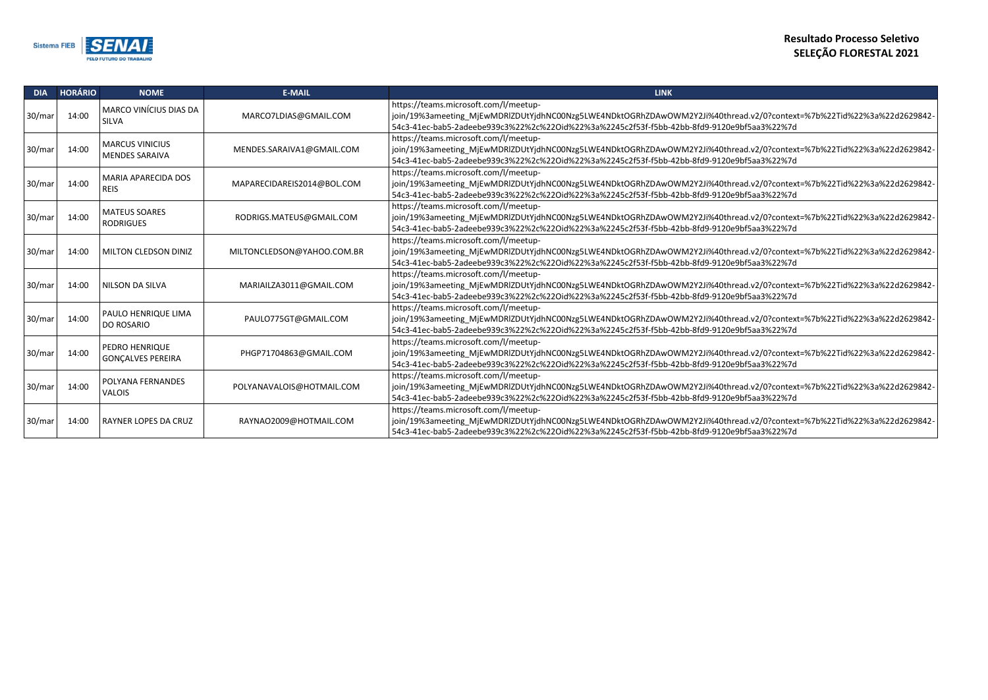$nd.v2/O? context=%7b%22Tid%22%3a%22dd2629842-d.$ of5aa3%22%7d

 $nd.v2/0?$ context=%7b%22Tid%22%3a%22d2629842of5aa3%22%7d

 $nd.v2/0?$ context=%7b%22Tid%22%3a%22d2629842of5aa3%22%7d

 $nd.v2/O? context=%7b%22Tid%22%3a%22dd2629842$ of5aa3%22%7d

 $nd.v2/0?$ context=%7b%22Tid%22%3a%22d2629842of5aa3%22%7d

 $nd.v2/O? context = %7b%22Tid%22%3a%22d2629842$ of5aa3%22%7d

 $nd.v2/0?$ context=%7b%22Tid%22%3a%22d2629842of5aa3%22%7d

 $nd.v2/O? context = %7b%22Tid%22%3a%22d2629842$ of5aa3%22%7d

 $nd.v2/O? context=%7b%22Tid%22%3a%22dd2629842$ of5aa3%22%7d

 $nd.v2/0?$ context=%7b%22Tid%22%3a%22d2629842of5aa3%22%7d



| <b>DIA</b> | <b>HORÁRIO</b> | <b>NOME</b>                                     | <b>E-MAIL</b>              | <b>LINK</b>                                                                                                                                                                                             |
|------------|----------------|-------------------------------------------------|----------------------------|---------------------------------------------------------------------------------------------------------------------------------------------------------------------------------------------------------|
| 30/mar     | 14:00          | <b>MARCO VINÍCIUS DIAS DA</b><br><b>SILVA</b>   | MARCO7LDIAS@GMAIL.COM      | https://teams.microsoft.com/l/meetup-<br>join/19%3ameeting_MjEwMDRlZDUtYjdhNC00Nzg5LWE4NDktOGRhZDAwOWM2Y2Ji%40thread<br>54c3-41ec-bab5-2adeebe939c3%22%2c%22Oid%22%3a%2245c2f53f-f5bb-42bb-8fd9-9120e9b |
| 30/mar     | 14:00          | <b>MARCUS VINICIUS</b><br><b>MENDES SARAIVA</b> | MENDES.SARAIVA1@GMAIL.COM  | https://teams.microsoft.com/l/meetup-<br>join/19%3ameeting MjEwMDRlZDUtYjdhNC00Nzg5LWE4NDktOGRhZDAwOWM2Y2Ji%40thread<br>54c3-41ec-bab5-2adeebe939c3%22%2c%22Oid%22%3a%2245c2f53f-f5bb-42bb-8fd9-9120e9b |
| 30/mar     | 14:00          | <b>MARIA APARECIDA DOS</b><br><b>REIS</b>       | MAPARECIDAREIS2014@BOL.COM | https://teams.microsoft.com/l/meetup-<br>join/19%3ameeting MjEwMDRlZDUtYjdhNC00Nzg5LWE4NDktOGRhZDAwOWM2Y2Ji%40threa<br>54c3-41ec-bab5-2adeebe939c3%22%2c%22Oid%22%3a%2245c2f53f-f5bb-42bb-8fd9-9120e9b  |
| 30/mar     | 14:00          | <b>MATEUS SOARES</b><br><b>RODRIGUES</b>        | RODRIGS.MATEUS@GMAIL.COM   | https://teams.microsoft.com/l/meetup-<br>join/19%3ameeting_MjEwMDRlZDUtYjdhNC00Nzg5LWE4NDktOGRhZDAwOWM2Y2Ji%40thread<br>54c3-41ec-bab5-2adeebe939c3%22%2c%22Oid%22%3a%2245c2f53f-f5bb-42bb-8fd9-9120e9b |
| 30/mar     | 14:00          | MILTON CLEDSON DINIZ                            | MILTONCLEDSON@YAHOO.COM.BR | https://teams.microsoft.com/l/meetup-<br>join/19%3ameeting MjEwMDRlZDUtYjdhNC00Nzg5LWE4NDktOGRhZDAwOWM2Y2Ji%40thread<br>54c3-41ec-bab5-2adeebe939c3%22%2c%22Oid%22%3a%2245c2f53f-f5bb-42bb-8fd9-9120e9b |
| 30/mar     | 14:00          | NILSON DA SILVA                                 | MARIAILZA3011@GMAIL.COM    | https://teams.microsoft.com/l/meetup-<br>join/19%3ameeting_MjEwMDRlZDUtYjdhNC00Nzg5LWE4NDktOGRhZDAwOWM2Y2Ji%40thread<br>54c3-41ec-bab5-2adeebe939c3%22%2c%22Oid%22%3a%2245c2f53f-f5bb-42bb-8fd9-9120e9b |
| 30/mar     | 14:00          | PAULO HENRIQUE LIMA<br><b>DO ROSARIO</b>        | PAULO775GT@GMAIL.COM       | https://teams.microsoft.com/l/meetup-<br>join/19%3ameeting MjEwMDRlZDUtYjdhNC00Nzg5LWE4NDktOGRhZDAwOWM2Y2Ji%40thread<br>54c3-41ec-bab5-2adeebe939c3%22%2c%22Oid%22%3a%2245c2f53f-f5bb-42bb-8fd9-9120e9b |
| 30/mar     | 14:00          | PEDRO HENRIQUE<br><b>GONÇALVES PEREIRA</b>      | PHGP71704863@GMAIL.COM     | https://teams.microsoft.com/l/meetup-<br>join/19%3ameeting MjEwMDRlZDUtYjdhNC00Nzg5LWE4NDktOGRhZDAwOWM2Y2Ji%40thread<br>54c3-41ec-bab5-2adeebe939c3%22%2c%22Oid%22%3a%2245c2f53f-f5bb-42bb-8fd9-9120e9b |
| 30/mar     | 14:00          | POLYANA FERNANDES<br><b>VALOIS</b>              | POLYANAVALOIS@HOTMAIL.COM  | https://teams.microsoft.com/l/meetup-<br>join/19%3ameeting MjEwMDRlZDUtYjdhNC00Nzg5LWE4NDktOGRhZDAwOWM2Y2Ji%40thread<br>54c3-41ec-bab5-2adeebe939c3%22%2c%22Oid%22%3a%2245c2f53f-f5bb-42bb-8fd9-9120e9b |
| 30/mar     | 14:00          | <b>RAYNER LOPES DA CRUZ</b>                     | RAYNAO2009@HOTMAIL.COM     | https://teams.microsoft.com/l/meetup-<br>join/19%3ameeting MjEwMDRlZDUtYjdhNC00Nzg5LWE4NDktOGRhZDAwOWM2Y2Ji%40threa<br>54c3-41ec-bab5-2adeebe939c3%22%2c%22Oid%22%3a%2245c2f53f-f5bb-42bb-8fd9-9120e9b  |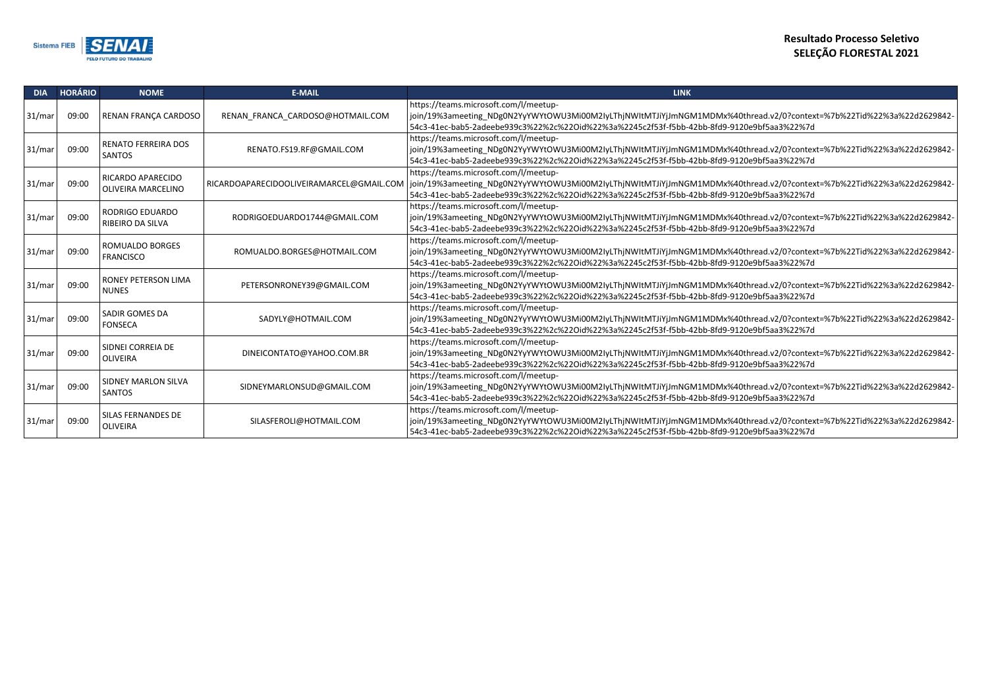thread.v2/0?context=%7b%22Tid%22%3a%22d2629842-54c3-41ec-bab5-2adeebe939c3%22%2c%22Oid%22%3a%2245c2f53f-f5bb-42bb-8fd9-9120e9bf5aa3%22%7d

thread.v2/0?context=%7b%22Tid%22%3a%22d2629842-0e9bf5aa3%22%7d

thread.v2/0?context=%7b%22Tid%22%3a%22d2629842-54c3-41ec-bab5-2adeebe939c3%22%2c%22Oid%22%3a%2245c2f53f-f5bb-42bb-8fd9-9120e9bf5aa3%22%7d

thread.v2/0?context=%7b%22Tid%22%3a%22d2629842-54c3-41ec-bab5-2adeebe939c3%22%2c%22Oid%22%3a%2245c2f53f-f5bb-42bb-8fd9-9120e9bf5aa3%22%7d

thread.v2/0?context=%7b%22Tid%22%3a%22d2629842-54c3-41ec-bab5-2adeebe939c3%22%2c%22Oid%22%3a%2245c2f53f-f5bb-42bb-8fd9-9120e9bf5aa3%22%7d

thread.v2/0?context=%7b%22Tid%22%3a%22d2629842-54c3-41ec-bab5-2adeebe939c3%22%2c%22Oid%22%3a%2245c2f53f-f5bb-42bb-8fd9-9120e9bf5aa3%22%7d

thread.v2/0?context=%7b%22Tid%22%3a%22d2629842-54c3-41ec-bab5-2adeebe939c3%22%2c%22Oid%22%3a%2245c2f53f-f5bb-42bb-8fd9-9120e9bf5aa3%22%7d

thread.v2/0?context=%7b%22Tid%22%3a%22d2629842-54c3-41ec-bab5-2adeebe939c3%22%2c%22Oid%22%3a%2245c2f53f-f5bb-42bb-8fd9-9120e9bf5aa3%22%7d

thread.v2/0?context=%7b%22Tid%22%3a%22d2629842-54c3-41ec-bab5-2adeebe939c3%22%2c%22Oid%22%3a%2245c2f53f-f5bb-42bb-8fd9-9120e9bf5aa3%22%7d

thread.v2/0?context=%7b%22Tid%22%3a%22d2629842-0e9bf5aa3%22%7d



| <b>DIA</b> | <b>HORÁRIO</b> | <b>NOME</b>                                  | <b>E-MAIL</b>                    | <b>LINK</b>                                                                                                                                                                                                                               |
|------------|----------------|----------------------------------------------|----------------------------------|-------------------------------------------------------------------------------------------------------------------------------------------------------------------------------------------------------------------------------------------|
| 31/mar     | 09:00          | RENAN FRANÇA CARDOSO                         | RENAN_FRANCA_CARDOSO@HOTMAIL.COM | https://teams.microsoft.com/l/meetup-<br>join/19%3ameeting_NDg0N2YyYWYtOWU3Mi00M2IyLThjNWItMTJiYjJmNGM1MDMx%40t<br>54c3-41ec-bab5-2adeebe939c3%22%2c%22Oid%22%3a%2245c2f53f-f5bb-42bb-8fd9-912                                            |
| 31/mar     | 09:00          | <b>RENATO FERREIRA DOS</b><br><b>SANTOS</b>  | RENATO.FS19.RF@GMAIL.COM         | https://teams.microsoft.com/l/meetup-<br>join/19%3ameeting NDg0N2YyYWYtOWU3Mi00M2IyLThjNWItMTJiYjJmNGM1MDMx%40t<br>54c3-41ec-bab5-2adeebe939c3%22%2c%22Oid%22%3a%2245c2f53f-f5bb-42bb-8fd9-912                                            |
| 31/mar     | 09:00          | RICARDO APARECIDO<br>OLIVEIRA MARCELINO      |                                  | https://teams.microsoft.com/l/meetup-<br>RICARDOAPARECIDOOLIVEIRAMARCEL@GMAIL.COM   join/19%3ameeting NDg0N2YyYWYtOWU3Mi00M2IyLThjNWItMTJiYjJmNGM1MDMx%40t<br>54c3-41ec-bab5-2adeebe939c3%22%2c%22Oid%22%3a%2245c2f53f-f5bb-42bb-8fd9-912 |
| 31/mar     | 09:00          | RODRIGO EDUARDO<br>RIBEIRO DA SILVA          | RODRIGOEDUARDO1744@GMAIL.COM     | https://teams.microsoft.com/l/meetup-<br>join/19%3ameeting NDg0N2YyYWYtOWU3Mi00M2IyLThjNWItMTJiYjJmNGM1MDMx%40t<br>54c3-41ec-bab5-2adeebe939c3%22%2c%22Oid%22%3a%2245c2f53f-f5bb-42bb-8fd9-912                                            |
| 31/mar     | 09:00          | <b>ROMUALDO BORGES</b><br><b>FRANCISCO</b>   | ROMUALDO.BORGES@HOTMAIL.COM      | https://teams.microsoft.com/l/meetup-<br>join/19%3ameeting_NDg0N2YyYWYtOWU3Mi00M2IyLThjNWItMTJiYjJmNGM1MDMx%40t<br>54c3-41ec-bab5-2adeebe939c3%22%2c%22Oid%22%3a%2245c2f53f-f5bb-42bb-8fd9-912                                            |
| 31/mar     | 09:00          | RONEY PETERSON LIMA<br><b>NUNES</b>          | PETERSONRONEY39@GMAIL.COM        | https://teams.microsoft.com/l/meetup-<br>join/19%3ameeting NDg0N2YyYWYtOWU3Mi00M2IyLThjNWItMTJiYjJmNGM1MDMx%40t<br>54c3-41ec-bab5-2adeebe939c3%22%2c%22Oid%22%3a%2245c2f53f-f5bb-42bb-8fd9-912                                            |
| 31/mar     | 09:00          | <b>SADIR GOMES DA</b><br><b>FONSECA</b>      | SADYLY@HOTMAIL.COM               | https://teams.microsoft.com/l/meetup-<br>join/19%3ameeting_NDg0N2YyYWYtOWU3Mi00M2IyLThjNWItMTJiYjJmNGM1MDMx%40t<br>54c3-41ec-bab5-2adeebe939c3%22%2c%22Oid%22%3a%2245c2f53f-f5bb-42bb-8fd9-912                                            |
| 31/mar     | 09:00          | SIDNEI CORREIA DE<br><b>OLIVEIRA</b>         | DINEICONTATO@YAHOO.COM.BR        | https://teams.microsoft.com/l/meetup-<br>join/19%3ameeting_NDg0N2YyYWYtOWU3Mi00M2IyLThjNWItMTJiYjJmNGM1MDMx%40t<br>54c3-41ec-bab5-2adeebe939c3%22%2c%22Oid%22%3a%2245c2f53f-f5bb-42bb-8fd9-912                                            |
| 31/mar     | 09:00          | SIDNEY MARLON SILVA<br><b>SANTOS</b>         | SIDNEYMARLONSUD@GMAIL.COM        | https://teams.microsoft.com/l/meetup-<br>join/19%3ameeting NDg0N2YyYWYtOWU3Mi00M2IyLThjNWItMTJiYjJmNGM1MDMx%40t<br>54c3-41ec-bab5-2adeebe939c3%22%2c%22Oid%22%3a%2245c2f53f-f5bb-42bb-8fd9-912                                            |
| 31/mar     | 09:00          | <b>SILAS FERNANDES DE</b><br><b>OLIVEIRA</b> | SILASFEROLI@HOTMAIL.COM          | https://teams.microsoft.com/l/meetup-<br>join/19%3ameeting NDg0N2YyYWYtOWU3Mi00M2IyLThjNWItMTJiYjJmNGM1MDMx%40t<br>54c3-41ec-bab5-2adeebe939c3%22%2c%22Oid%22%3a%2245c2f53f-f5bb-42bb-8fd9-912                                            |